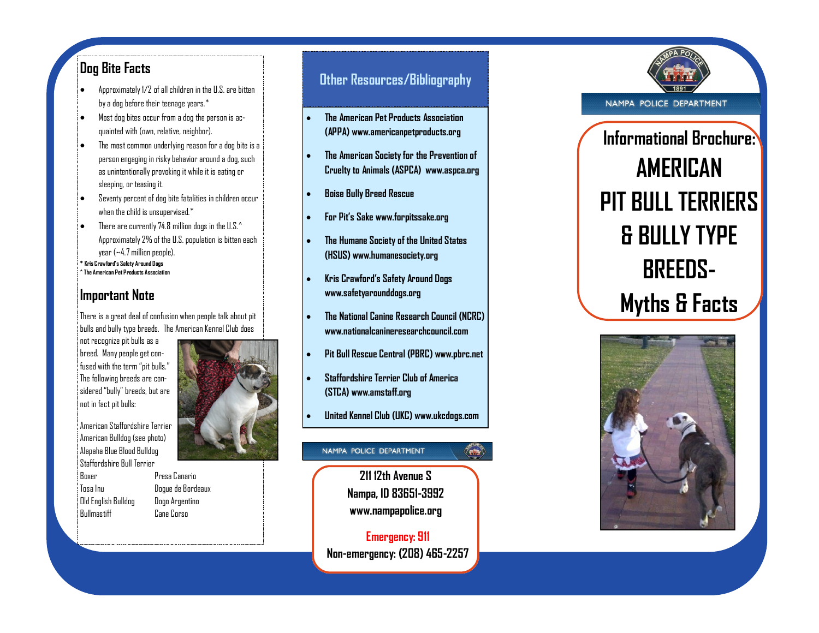## **Dog Bite Facts**

- Approximately 1/2 of all children in the U.S. are bitten by a dog before their teenage years.\*
- Most dog bites occur from a dog the person is acquainted with (own, relative, neighbor).
- The most common underlying reason for a dog bite is a person engaging in risky behavior around a dog, such as unintentionally provoking it while it is eating or sleeping, or teasing it.
- Seventy percent of dog bite fatalities in children occur when the child is unsupervised.<sup>\*</sup>
- There are currently 74.8 million dogs in the U.S.^ Approximately 2% of the U.S. population is bitten each year (~4.7 million people).
- **\* Kris Crawford's Safety Around Dogs ^ The American Pet Products Association**

## **Important Note**

There is a great deal of confusion when people talk about pit bulls and bully type breeds. The American Kennel Club does

not recognize pit bulls as a breed. Many people get confused with the term "pit bulls." The following breeds are considered "bully" breeds, but are not in fact pit bulls:

American Staffordshire Terrier American Bulldog (see photo) Alapaha Blue Blood Bulldog Staffordshire Bull Terrier Boxer Presa Canario Tosa Inu Dogue de Bordeaux Old English Bulldog Dogo Argentino



Bullmastiff Cane Corso

# **Other Resources/Bibliography**

- **The American Pet Products Association (APPA) www.americanpetproducts.org**
- **The American Society for the Prevention of Cruelty to Animals (ASPCA) www.aspca.org**
- **Boise Bully Breed Rescue**
- **For Pit's Sake www.forpitssake.org**
- **The Humane Society of the United States (HSUS) www.humanesociety.org**
- **Kris Crawford's Safety Around Dogs www.safetyarounddogs.org**
- **The National Canine Research Council (NCRC) www.nationalcanineresearchcouncil.com**
- **Pit Bull Rescue Central (PBRC) www.pbrc.net**
- **Staffordshire Terrier Club of America (STCA) www.amstaff.org**
- **United Kennel Club (UKC) www.ukcdogs.com**

#### NAMPA POLICE DEPARTMENT

**211 12th Avenue S Nampa, ID 83651 -3992 www.nampapolice.org**

**Emergency: 911 Non -emergency: (208) 465 -2257**